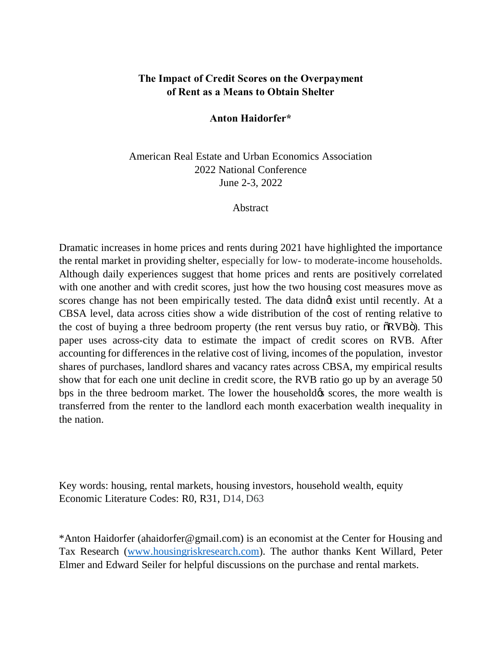# **The Impact of Credit Scores on the Overpayment of Rent as a Means to Obtain Shelter**

### **Anton Haidorfer\***

American Real Estate and Urban Economics Association 2022 National Conference June 2-3, 2022

**Abstract** 

Dramatic increases in home prices and rents during 2021 have highlighted the importance the rental market in providing shelter, especially for low- to moderate-income households. Although daily experiences suggest that home prices and rents are positively correlated with one another and with credit scores, just how the two housing cost measures move as scores change has not been empirically tested. The data didnet exist until recently. At a CBSA level, data across cities show a wide distribution of the cost of renting relative to the cost of buying a three bedroom property (the rent versus buy ratio, or  $\delta RVB$ <sup> $\delta$ </sup>). This paper uses across-city data to estimate the impact of credit scores on RVB. After accounting for differences in the relative cost of living, incomes of the population, investor shares of purchases, landlord shares and vacancy rates across CBSA, my empirical results show that for each one unit decline in credit score, the RVB ratio go up by an average 50 bps in the three bedroom market. The lower the household the scores, the more wealth is transferred from the renter to the landlord each month exacerbation wealth inequality in the nation.

Key words: housing, rental markets, housing investors, household wealth, equity Economic Literature Codes: R0, R31, D14, D63

\*Anton Haidorfer (ahaidorfer@gmail.com) is an economist at the Center for Housing and Tax Research (www.housingriskresearch.com). The author thanks Kent Willard, Peter Elmer and Edward Seiler for helpful discussions on the purchase and rental markets.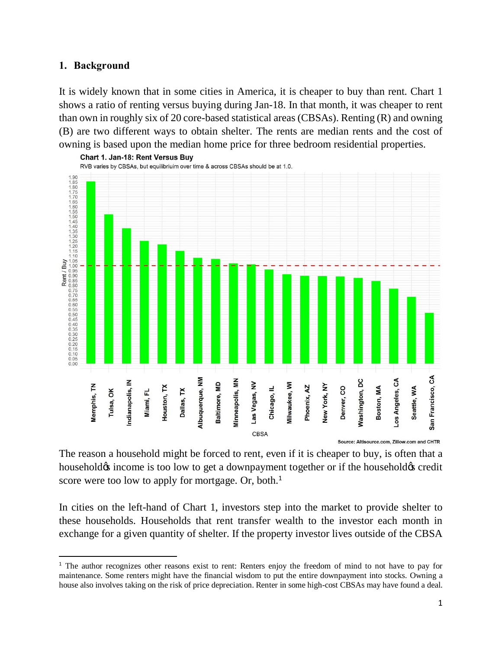#### **1. Background**

It is widely known that in some cities in America, it is cheaper to buy than rent. Chart 1 shows a ratio of renting versus buying during Jan-18. In that month, it was cheaper to rent than own in roughly six of 20 core-based statistical areas (CBSAs). Renting (R) and owning (B) are two different ways to obtain shelter. The rents are median rents and the cost of owning is based upon the median home price for three bedroom residential properties.



Source: Altisource.com, Zillow.com and CHTR

The reason a household might be forced to rent, even if it is cheaper to buy, is often that a household income is too low to get a downpayment together or if the household is credit score were too low to apply for mortgage. Or, both.<sup>1</sup>

In cities on the left-hand of Chart 1, investors step into the market to provide shelter to these households. Households that rent transfer wealth to the investor each month in exchange for a given quantity of shelter. If the property investor lives outside of the CBSA

<sup>&</sup>lt;sup>1</sup> The author recognizes other reasons exist to rent: Renters enjoy the freedom of mind to not have to pay for maintenance. Some renters might have the financial wisdom to put the entire downpayment into stocks. Owning a house also involves taking on the risk of price depreciation. Renter in some high-cost CBSAs may have found a deal.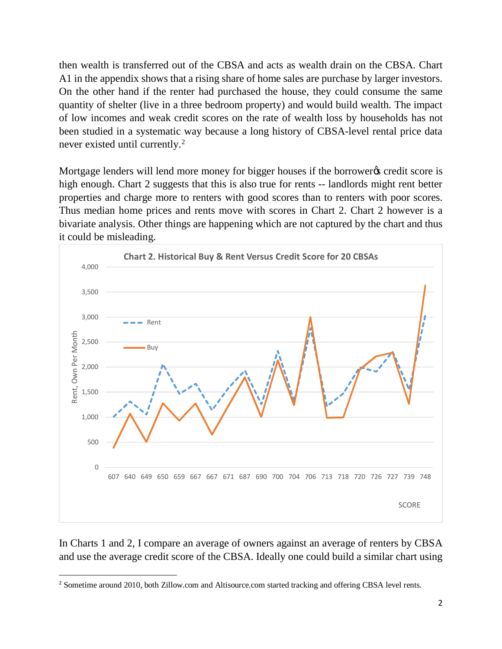then wealth is transferred out of the CBSA and acts as wealth drain on the CBSA. Chart A1 in the appendix shows that a rising share of home sales are purchase by larger investors. On the other hand if the renter had purchased the house, they could consume the same quantity of shelter (live in a three bedroom property) and would build wealth. The impact of low incomes and weak credit scores on the rate of wealth loss by households has not been studied in a systematic way because a long history of CBSA-level rental price data never existed until currently.2

Mortgage lenders will lend more money for bigger houses if the borrower ts credit score is high enough. Chart 2 suggests that this is also true for rents -- landlords might rent better properties and charge more to renters with good scores than to renters with poor scores. Thus median home prices and rents move with scores in Chart 2. Chart 2 however is a bivariate analysis. Other things are happening which are not captured by the chart and thus it could be misleading.



In Charts 1 and 2, I compare an average of owners against an average of renters by CBSA and use the average credit score of the CBSA. Ideally one could build a similar chart using

 <sup>2</sup> Sometime around 2010, both Zillow.com and Altisource.com started tracking and offering CBSA level rents.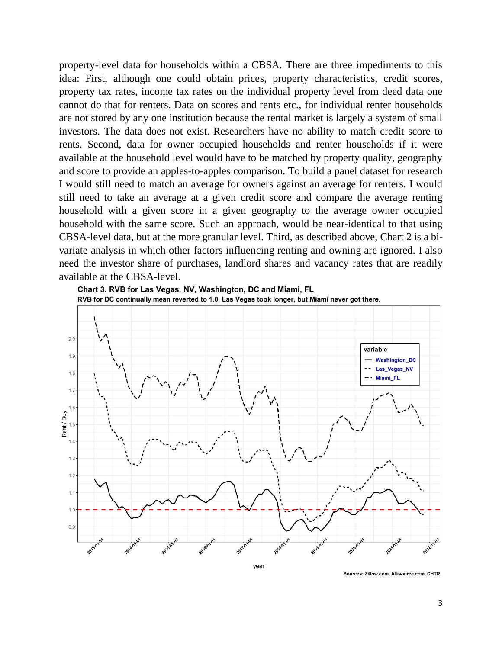property-level data for households within a CBSA. There are three impediments to this idea: First, although one could obtain prices, property characteristics, credit scores, property tax rates, income tax rates on the individual property level from deed data one cannot do that for renters. Data on scores and rents etc., for individual renter households are not stored by any one institution because the rental market is largely a system of small investors. The data does not exist. Researchers have no ability to match credit score to rents. Second, data for owner occupied households and renter households if it were available at the household level would have to be matched by property quality, geography and score to provide an apples-to-apples comparison. To build a panel dataset for research I would still need to match an average for owners against an average for renters. I would still need to take an average at a given credit score and compare the average renting household with a given score in a given geography to the average owner occupied household with the same score. Such an approach, would be near-identical to that using CBSA-level data, but at the more granular level. Third, as described above, Chart 2 is a bivariate analysis in which other factors influencing renting and owning are ignored. I also need the investor share of purchases, landlord shares and vacancy rates that are readily available at the CBSA-level.



Sources: Zillow.com, Altisource.com, CHTR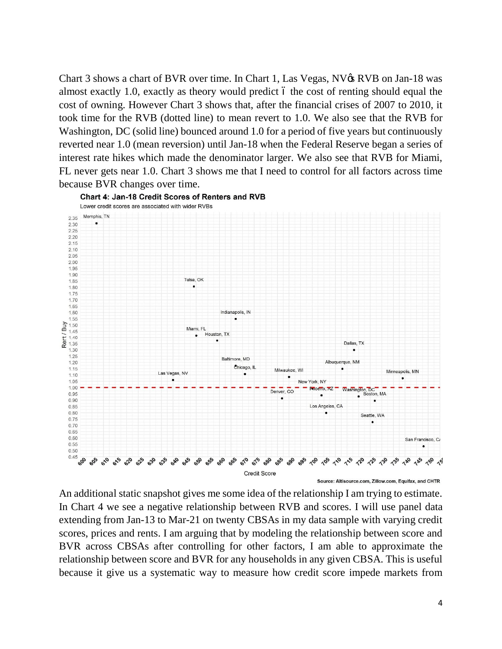Chart 3 shows a chart of BVR over time. In Chart 1, Las Vegas, NV $\alpha$  RVB on Jan-18 was almost exactly 1.0, exactly as theory would predict 6 the cost of renting should equal the cost of owning. However Chart 3 shows that, after the financial crises of 2007 to 2010, it took time for the RVB (dotted line) to mean revert to 1.0. We also see that the RVB for Washington, DC (solid line) bounced around 1.0 for a period of five years but continuously reverted near 1.0 (mean reversion) until Jan-18 when the Federal Reserve began a series of interest rate hikes which made the denominator larger. We also see that RVB for Miami, FL never gets near 1.0. Chart 3 shows me that I need to control for all factors across time because BVR changes over time.



**Chart 4: Jan-18 Credit Scores of Renters and RVB** 

Source: Altisource.com, Zillow.com, Equifax, and CHTR

An additional static snapshot gives me some idea of the relationship I am trying to estimate. In Chart 4 we see a negative relationship between RVB and scores. I will use panel data extending from Jan-13 to Mar-21 on twenty CBSAs in my data sample with varying credit scores, prices and rents. I am arguing that by modeling the relationship between score and BVR across CBSAs after controlling for other factors, I am able to approximate the relationship between score and BVR for any households in any given CBSA. This is useful because it give us a systematic way to measure how credit score impede markets from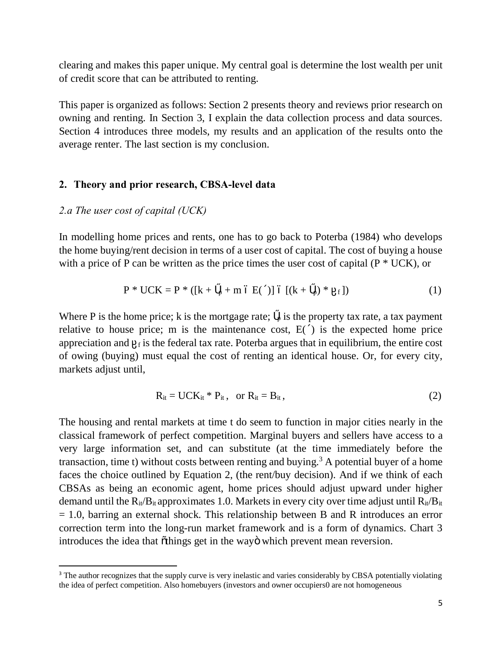clearing and makes this paper unique. My central goal is determine the lost wealth per unit of credit score that can be attributed to renting.

This paper is organized as follows: Section 2 presents theory and reviews prior research on owning and renting. In Section 3, I explain the data collection process and data sources. Section 4 introduces three models, my results and an application of the results onto the average renter. The last section is my conclusion.

#### **2. Theory and prior research, CBSA-level data**

#### *2.a The user cost of capital (UCK)*

In modelling home prices and rents, one has to go back to Poterba (1984) who develops the home buying/rent decision in terms of a user cost of capital. The cost of buying a house with a price of P can be written as the price times the user cost of capital  $(P * UCK)$ , or

$$
P * UCK = P * ([k + p + m 6 E() ] 6 [(k + p) * f])
$$
 (1)

Where P is the home price; k is the mortgage rate;  $\beta$  is the property tax rate, a tax payment relative to house price; m is the maintenance cost, E( ) is the expected home price appreciation and  $f$  is the federal tax rate. Poterba argues that in equilibrium, the entire cost of owing (buying) must equal the cost of renting an identical house. Or, for every city, markets adjust until,

$$
R_{it} = UCK_{it} * P_{it}, \text{ or } R_{it} = B_{it}, \qquad (2)
$$

The housing and rental markets at time t do seem to function in major cities nearly in the classical framework of perfect competition. Marginal buyers and sellers have access to a very large information set, and can substitute (at the time immediately before the transaction, time t) without costs between renting and buying.<sup>3</sup> A potential buyer of a home faces the choice outlined by Equation 2, (the rent/buy decision). And if we think of each CBSAs as being an economic agent, home prices should adjust upward under higher demand until the  $R_{it}/B_{it}$  approximates 1.0. Markets in every city over time adjust until  $R_{it}/B_{it}$  $= 1.0$ , barring an external shock. This relationship between B and R introduces an error correction term into the long-run market framework and is a form of dynamics. Chart 3 introduces the idea that  $\tilde{o}$ things get in the way $\ddot{o}$  which prevent mean reversion.

<sup>&</sup>lt;sup>3</sup> The author recognizes that the supply curve is very inelastic and varies considerably by CBSA potentially violating the idea of perfect competition. Also homebuyers (investors and owner occupiers0 are not homogeneous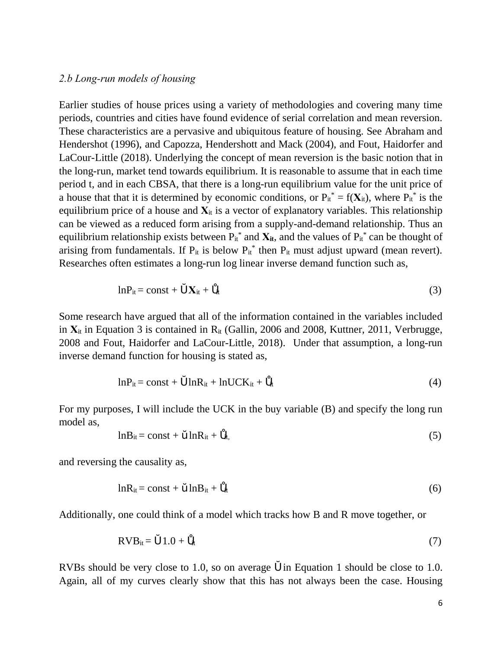#### *2.b Long-run models of housing*

Earlier studies of house prices using a variety of methodologies and covering many time periods, countries and cities have found evidence of serial correlation and mean reversion. These characteristics are a pervasive and ubiquitous feature of housing. See Abraham and Hendershot (1996), and Capozza, Hendershott and Mack (2004), and Fout, Haidorfer and LaCour-Little (2018). Underlying the concept of mean reversion is the basic notion that in the long-run, market tend towards equilibrium. It is reasonable to assume that in each time period t, and in each CBSA, that there is a long-run equilibrium value for the unit price of a house that that it is determined by economic conditions, or  $P_{it}^{*} = f(X_{it})$ , where  $P_{it}^{*}$  is the equilibrium price of a house and  $\mathbf{X}_{it}$  is a vector of explanatory variables. This relationship can be viewed as a reduced form arising from a supply-and-demand relationship. Thus an equilibrium relationship exists between  $P_{it}^{*}$  and  $X_{it}$ , and the values of  $P_{it}^{*}$  can be thought of arising from fundamentals. If  $P_{it}$  is below  $P_{it}^*$  then  $P_{it}$  must adjust upward (mean revert). Researches often estimates a long-run log linear inverse demand function such as,

$$
lnP_{it} = const + \mathbf{X}_{it} + i_{t}
$$
 (3)

Some research have argued that all of the information contained in the variables included in **X**it in Equation 3 is contained in Rit (Gallin, 2006 and 2008, Kuttner, 2011, Verbrugge, 2008 and Fout, Haidorfer and LaCour-Little, 2018). Under that assumption, a long-run inverse demand function for housing is stated as,

$$
lnP_{it} = const + lnR_{it} + lnUCK_{it} + it
$$
 (4)

For my purposes, I will include the UCK in the buy variable (B) and specify the long run model as,

$$
lnB_{it} = const + lnR_{it} + it, \t\t(5)
$$

and reversing the causality as,

$$
lnR_{it} = const + lnB_{it} + it
$$
 (6)

Additionally, one could think of a model which tracks how B and R move together, or

$$
RVB_{it} = 1.0 + it \tag{7}
$$

RVBs should be very close to 1.0, so on average in Equation 1 should be close to 1.0. Again, all of my curves clearly show that this has not always been the case. Housing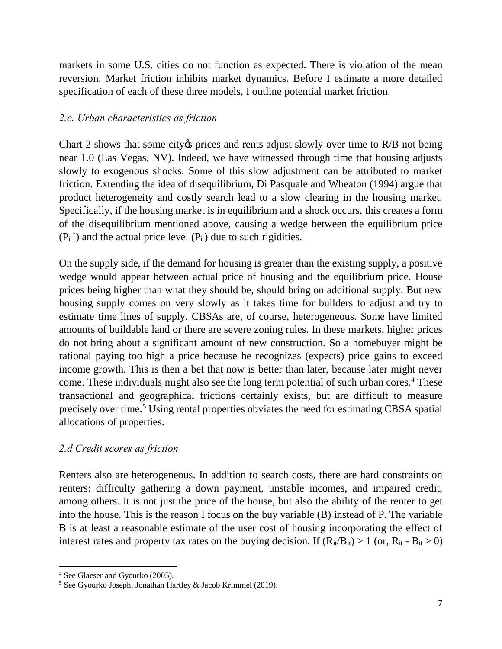markets in some U.S. cities do not function as expected. There is violation of the mean reversion. Market friction inhibits market dynamics. Before I estimate a more detailed specification of each of these three models, I outline potential market friction.

## *2.c. Urban characteristics as friction*

Chart 2 shows that some city the prices and rents adjust slowly over time to  $R/B$  not being near 1.0 (Las Vegas, NV). Indeed, we have witnessed through time that housing adjusts slowly to exogenous shocks. Some of this slow adjustment can be attributed to market friction. Extending the idea of disequilibrium, Di Pasquale and Wheaton (1994) argue that product heterogeneity and costly search lead to a slow clearing in the housing market. Specifically, if the housing market is in equilibrium and a shock occurs, this creates a form of the disequilibrium mentioned above, causing a wedge between the equilibrium price  $(P_{it}^*)$  and the actual price level  $(P_{it})$  due to such rigidities.

On the supply side, if the demand for housing is greater than the existing supply, a positive wedge would appear between actual price of housing and the equilibrium price. House prices being higher than what they should be, should bring on additional supply. But new housing supply comes on very slowly as it takes time for builders to adjust and try to estimate time lines of supply. CBSAs are, of course, heterogeneous. Some have limited amounts of buildable land or there are severe zoning rules. In these markets, higher prices do not bring about a significant amount of new construction. So a homebuyer might be rational paying too high a price because he recognizes (expects) price gains to exceed income growth. This is then a bet that now is better than later, because later might never come. These individuals might also see the long term potential of such urban cores.<sup>4</sup> These transactional and geographical frictions certainly exists, but are difficult to measure precisely over time.5 Using rental properties obviates the need for estimating CBSA spatial allocations of properties.

## *2.d Credit scores as friction*

Renters also are heterogeneous. In addition to search costs, there are hard constraints on renters: difficulty gathering a down payment, unstable incomes, and impaired credit, among others. It is not just the price of the house, but also the ability of the renter to get into the house. This is the reason I focus on the buy variable (B) instead of P. The variable B is at least a reasonable estimate of the user cost of housing incorporating the effect of interest rates and property tax rates on the buying decision. If  $(R_{it}/B_{it}) > 1$  (or,  $R_{it}$  -  $B_{it} > 0$ )

 $\overline{\phantom{a}}$ <sup>4</sup> See Glaeser and Gyourko (2005).

<sup>5</sup> See Gyourko Joseph, Jonathan Hartley & Jacob Krimmel (2019).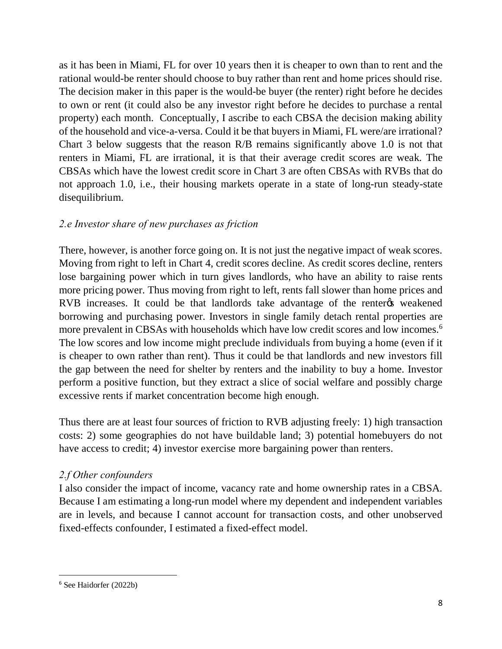as it has been in Miami, FL for over 10 years then it is cheaper to own than to rent and the rational would-be renter should choose to buy rather than rent and home prices should rise. The decision maker in this paper is the would-be buyer (the renter) right before he decides to own or rent (it could also be any investor right before he decides to purchase a rental property) each month. Conceptually, I ascribe to each CBSA the decision making ability of the household and vice-a-versa. Could it be that buyers in Miami, FL were/are irrational? Chart 3 below suggests that the reason R/B remains significantly above 1.0 is not that renters in Miami, FL are irrational, it is that their average credit scores are weak. The CBSAs which have the lowest credit score in Chart 3 are often CBSAs with RVBs that do not approach 1.0, i.e., their housing markets operate in a state of long-run steady-state disequilibrium.

## *2.e Investor share of new purchases as friction*

There, however, is another force going on. It is not just the negative impact of weak scores. Moving from right to left in Chart 4, credit scores decline. As credit scores decline, renters lose bargaining power which in turn gives landlords, who have an ability to raise rents more pricing power. Thus moving from right to left, rents fall slower than home prices and RVB increases. It could be that landlords take advantage of the renter tness weakened borrowing and purchasing power. Investors in single family detach rental properties are more prevalent in CBSAs with households which have low credit scores and low incomes.<sup>6</sup> The low scores and low income might preclude individuals from buying a home (even if it is cheaper to own rather than rent). Thus it could be that landlords and new investors fill the gap between the need for shelter by renters and the inability to buy a home. Investor perform a positive function, but they extract a slice of social welfare and possibly charge excessive rents if market concentration become high enough.

Thus there are at least four sources of friction to RVB adjusting freely: 1) high transaction costs: 2) some geographies do not have buildable land; 3) potential homebuyers do not have access to credit; 4) investor exercise more bargaining power than renters.

## *2.f Other confounders*

I also consider the impact of income, vacancy rate and home ownership rates in a CBSA. Because I am estimating a long-run model where my dependent and independent variables are in levels, and because I cannot account for transaction costs, and other unobserved fixed-effects confounder, I estimated a fixed-effect model.

 <sup>6</sup> See Haidorfer (2022b)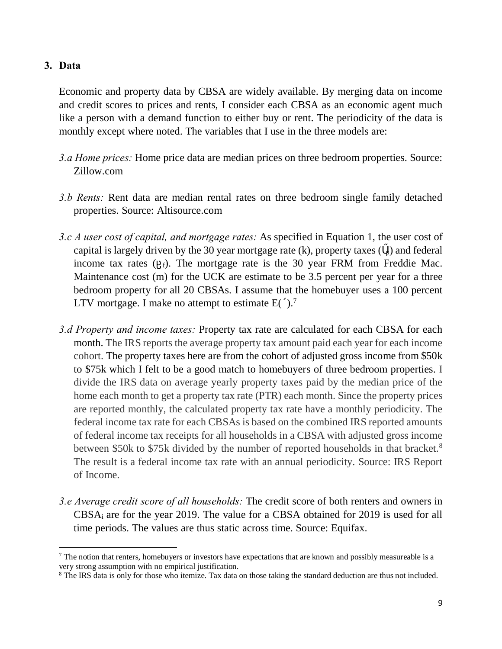### **3. Data**

 $\overline{a}$ 

Economic and property data by CBSA are widely available. By merging data on income and credit scores to prices and rents, I consider each CBSA as an economic agent much like a person with a demand function to either buy or rent. The periodicity of the data is monthly except where noted. The variables that I use in the three models are:

- *3.a Home prices:* Home price data are median prices on three bedroom properties. Source: Zillow.com
- *3.b Rents:* Rent data are median rental rates on three bedroom single family detached properties. Source: Altisource.com
- *3.c A user cost of capital, and mortgage rates:* As specified in Equation 1, the user cost of capital is largely driven by the 30 year mortgage rate  $(k)$ , property taxes  $\binom{p}{k}$  and federal income tax rates  $\binom{f}{r}$ . The mortgage rate is the 30 year FRM from Freddie Mac. Maintenance cost (m) for the UCK are estimate to be 3.5 percent per year for a three bedroom property for all 20 CBSAs. I assume that the homebuyer uses a 100 percent LTV mortgage. I make no attempt to estimate  $E( )$ .<sup>7</sup>
- *3.d Property and income taxes:* Property tax rate are calculated for each CBSA for each month. The IRS reports the average property tax amount paid each year for each income cohort. The property taxes here are from the cohort of adjusted gross income from \$50k to \$75k which I felt to be a good match to homebuyers of three bedroom properties. I divide the IRS data on average yearly property taxes paid by the median price of the home each month to get a property tax rate (PTR) each month. Since the property prices are reported monthly, the calculated property tax rate have a monthly periodicity. The federal income tax rate for each CBSAs is based on the combined IRS reported amounts of federal income tax receipts for all households in a CBSA with adjusted gross income between \$50k to \$75k divided by the number of reported households in that bracket.<sup>8</sup> The result is a federal income tax rate with an annual periodicity. Source: IRS Report of Income.
- *3.e Average credit score of all households:* The credit score of both renters and owners in CBSAi are for the year 2019. The value for a CBSA obtained for 2019 is used for all time periods. The values are thus static across time. Source: Equifax.

 $<sup>7</sup>$  The notion that renters, homebuyers or investors have expectations that are known and possibly measureable is a</sup> very strong assumption with no empirical justification.

<sup>&</sup>lt;sup>8</sup> The IRS data is only for those who itemize. Tax data on those taking the standard deduction are thus not included.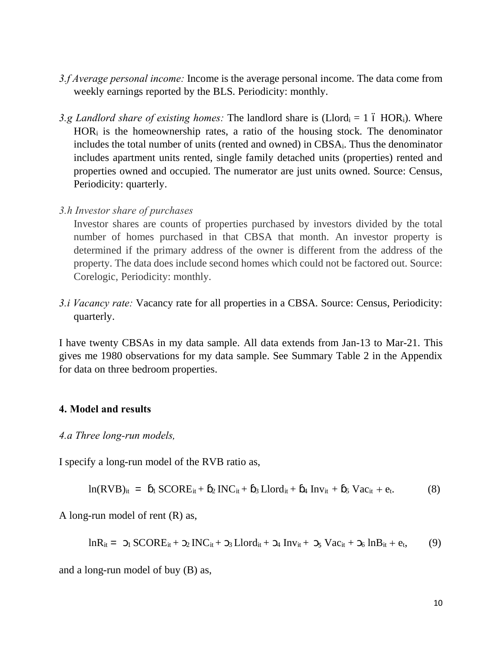- *3.f Average personal income:* Income is the average personal income. The data come from weekly earnings reported by the BLS. Periodicity: monthly.
- *3.g Landlord share of existing homes:* The landlord share is (Llord<sub>i</sub> = 1  $\acute{o}$  HOR<sub>i</sub>). Where  $HOR_i$  is the homeownership rates, a ratio of the housing stock. The denominator includes the total number of units (rented and owned) in  $CBSA_i$ . Thus the denominator includes apartment units rented, single family detached units (properties) rented and properties owned and occupied. The numerator are just units owned. Source: Census, Periodicity: quarterly.

#### *3.h Investor share of purchases*

Investor shares are counts of properties purchased by investors divided by the total number of homes purchased in that CBSA that month. An investor property is determined if the primary address of the owner is different from the address of the property. The data does include second homes which could not be factored out. Source: Corelogic, Periodicity: monthly.

*3.i Vacancy rate:* Vacancy rate for all properties in a CBSA. Source: Census, Periodicity: quarterly.

I have twenty CBSAs in my data sample. All data extends from Jan-13 to Mar-21. This gives me 1980 observations for my data sample. See Summary Table 2 in the Appendix for data on three bedroom properties.

#### **4. Model and results**

#### *4.a Three long-run models,*

I specify a long-run model of the RVB ratio as,

$$
ln(RVB)_{it} = 1 SCORE_{it} + 2 INC_{it} + 3 Llord_{it} + 4 Inv_{it} + 5 Vac_{it} + e_{t}.
$$
 (8)

A long-run model of rent (R) as,

$$
lnR_{it} = 1 SCORE_{it} + 2 INC_{it} + 3Llord_{it} + 4 Inv_{it} + 5 Vac_{it} + 6 lnB_{it} + e_t,
$$
 (9)

and a long-run model of buy (B) as,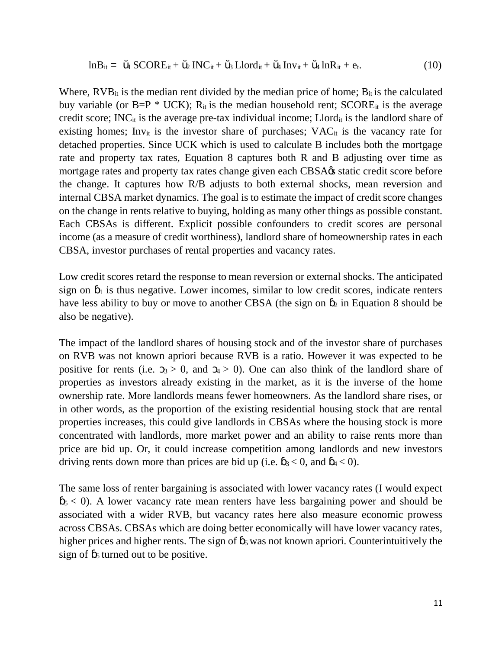$$
lnB_{it} = 1 SCORE_{it} + 2 INC_{it} + 3 Llord_{it} + 4 Inv_{it} + 4 lnR_{it} + e_t.
$$
 (10)

Where,  $RVB_{it}$  is the median rent divided by the median price of home;  $B_{it}$  is the calculated buy variable (or B=P  $*$  UCK); R<sub>it</sub> is the median household rent; SCORE<sub>it</sub> is the average credit score; INC<sub>it</sub> is the average pre-tax individual income; Llord<sub>it</sub> is the landlord share of existing homes; Inv<sub>it</sub> is the investor share of purchases;  $VAC_{it}$  is the vacancy rate for detached properties. Since UCK which is used to calculate B includes both the mortgage rate and property tax rates, Equation 8 captures both R and B adjusting over time as mortgage rates and property tax rates change given each CBSA $\alpha$  static credit score before the change. It captures how R/B adjusts to both external shocks, mean reversion and internal CBSA market dynamics. The goal is to estimate the impact of credit score changes on the change in rents relative to buying, holding as many other things as possible constant. Each CBSAs is different. Explicit possible confounders to credit scores are personal income (as a measure of credit worthiness), landlord share of homeownership rates in each CBSA, investor purchases of rental properties and vacancy rates.

Low credit scores retard the response to mean reversion or external shocks. The anticipated sign on  $_1$  is thus negative. Lower incomes, similar to low credit scores, indicate renters have less ability to buy or move to another CBSA (the sign on  $2 \text{ in }$  Equation 8 should be also be negative).

The impact of the landlord shares of housing stock and of the investor share of purchases on RVB was not known apriori because RVB is a ratio. However it was expected to be positive for rents (i.e.  $3 > 0$ , and  $4 > 0$ ). One can also think of the landlord share of properties as investors already existing in the market, as it is the inverse of the home ownership rate. More landlords means fewer homeowners. As the landlord share rises, or in other words, as the proportion of the existing residential housing stock that are rental properties increases, this could give landlords in CBSAs where the housing stock is more concentrated with landlords, more market power and an ability to raise rents more than price are bid up. Or, it could increase competition among landlords and new investors driving rents down more than prices are bid up (i.e.  $3 < 0$ , and  $4 < 0$ ).

The same loss of renter bargaining is associated with lower vacancy rates (I would expect  $5 < 0$ ). A lower vacancy rate mean renters have less bargaining power and should be associated with a wider RVB, but vacancy rates here also measure economic prowess across CBSAs. CBSAs which are doing better economically will have lower vacancy rates, higher prices and higher rents. The sign of  $\frac{1}{5}$  was not known apriori. Counterintuitively the sign of  $\frac{1}{5}$  turned out to be positive.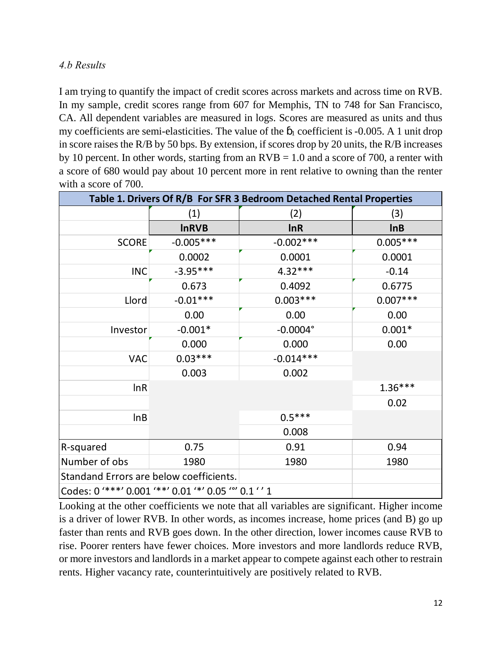# *4.b Results*

I am trying to quantify the impact of credit scores across markets and across time on RVB. In my sample, credit scores range from 607 for Memphis, TN to 748 for San Francisco, CA. All dependent variables are measured in logs. Scores are measured as units and thus my coefficients are semi-elasticities. The value of the  $\frac{1}{1}$  coefficient is -0.005. A 1 unit drop in score raises the R/B by 50 bps. By extension, if scores drop by 20 units, the R/B increases by 10 percent. In other words, starting from an  $RVB = 1.0$  and a score of 700, a renter with a score of 680 would pay about 10 percent more in rent relative to owning than the renter with a score of 700.

| Table 1. Drivers Of R/B For SFR 3 Bedroom Detached Rental Properties |              |             |            |
|----------------------------------------------------------------------|--------------|-------------|------------|
|                                                                      | (1)          | (2)         | (3)        |
|                                                                      | <b>InRVB</b> | lnR         | lnB        |
| <b>SCORE</b>                                                         | $-0.005***$  | $-0.002***$ | $0.005***$ |
|                                                                      | 0.0002       | 0.0001      | 0.0001     |
| <b>INC</b>                                                           | $-3.95***$   | 4.32 ***    | $-0.14$    |
|                                                                      | 0.673        | 0.4092      | 0.6775     |
| Llord                                                                | $-0.01***$   | $0.003***$  | $0.007***$ |
|                                                                      | 0.00         | 0.00        | 0.00       |
| Investor                                                             | $-0.001*$    | $-0.0004$ ° | $0.001*$   |
|                                                                      | 0.000        | 0.000       | 0.00       |
| <b>VAC</b>                                                           | $0.03***$    | $-0.014***$ |            |
|                                                                      | 0.003        | 0.002       |            |
| lnR                                                                  |              |             | $1.36***$  |
|                                                                      |              |             | 0.02       |
| ln B                                                                 |              | $0.5***$    |            |
|                                                                      |              | 0.008       |            |
| R-squared                                                            | 0.75         | 0.91        | 0.94       |
| Number of obs                                                        | 1980         | 1980        | 1980       |
| Standand Errors are below coefficients.                              |              |             |            |
| Codes: 0 '***' 0.001 '**' 0.01 '*' 0.05 '°' 0.1 '' 1                 |              |             |            |

Looking at the other coefficients we note that all variables are significant. Higher income is a driver of lower RVB. In other words, as incomes increase, home prices (and B) go up faster than rents and RVB goes down. In the other direction, lower incomes cause RVB to rise. Poorer renters have fewer choices. More investors and more landlords reduce RVB, or more investors and landlords in a market appear to compete against each other to restrain rents. Higher vacancy rate, counterintuitively are positively related to RVB.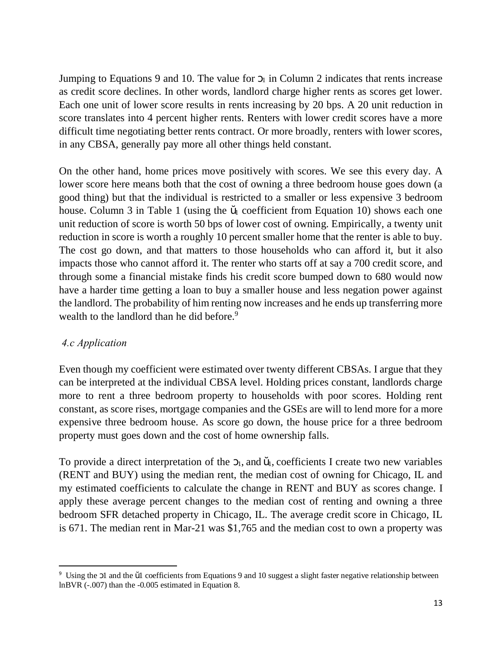Jumping to Equations 9 and 10. The value for  $_1$  in Column 2 indicates that rents increase as credit score declines. In other words, landlord charge higher rents as scores get lower. Each one unit of lower score results in rents increasing by 20 bps. A 20 unit reduction in score translates into 4 percent higher rents. Renters with lower credit scores have a more difficult time negotiating better rents contract. Or more broadly, renters with lower scores, in any CBSA, generally pay more all other things held constant.

On the other hand, home prices move positively with scores. We see this every day. A lower score here means both that the cost of owning a three bedroom house goes down (a good thing) but that the individual is restricted to a smaller or less expensive 3 bedroom house. Column 3 in Table 1 (using the  $\frac{1}{1}$  coefficient from Equation 10) shows each one unit reduction of score is worth 50 bps of lower cost of owning. Empirically, a twenty unit reduction in score is worth a roughly 10 percent smaller home that the renter is able to buy. The cost go down, and that matters to those households who can afford it, but it also impacts those who cannot afford it. The renter who starts off at say a 700 credit score, and through some a financial mistake finds his credit score bumped down to 680 would now have a harder time getting a loan to buy a smaller house and less negation power against the landlord. The probability of him renting now increases and he ends up transferring more wealth to the landlord than he did before.<sup>9</sup>

## *4.c Application*

Even though my coefficient were estimated over twenty different CBSAs. I argue that they can be interpreted at the individual CBSA level. Holding prices constant, landlords charge more to rent a three bedroom property to households with poor scores. Holding rent constant, as score rises, mortgage companies and the GSEs are will to lend more for a more expensive three bedroom house. As score go down, the house price for a three bedroom property must goes down and the cost of home ownership falls.

To provide a direct interpretation of the  $_{1}$ , and  $_{1}$ , coefficients I create two new variables (RENT and BUY) using the median rent, the median cost of owning for Chicago, IL and my estimated coefficients to calculate the change in RENT and BUY as scores change. I apply these average percent changes to the median cost of renting and owning a three bedroom SFR detached property in Chicago, IL. The average credit score in Chicago, IL is 671. The median rent in Mar-21 was \$1,765 and the median cost to own a property was

 <sup>9</sup> <sup>9</sup> Using the 1 and the 1 coefficients from Equations 9 and 10 suggest a slight faster negative relationship between lnBVR (-.007) than the -0.005 estimated in Equation 8.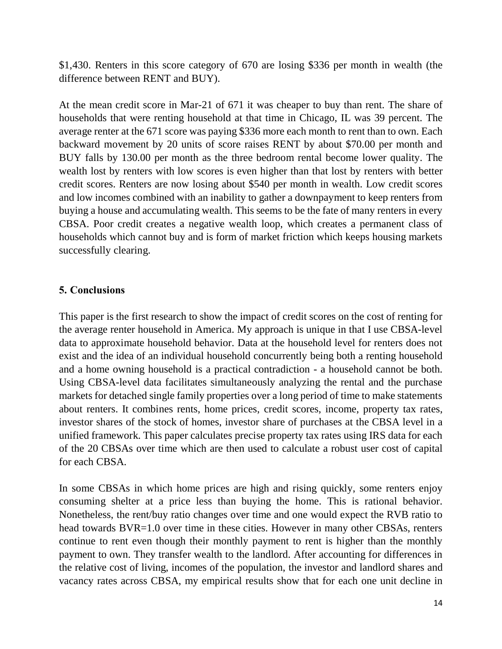\$1,430. Renters in this score category of 670 are losing \$336 per month in wealth (the difference between RENT and BUY).

At the mean credit score in Mar-21 of 671 it was cheaper to buy than rent. The share of households that were renting household at that time in Chicago, IL was 39 percent. The average renter at the 671 score was paying \$336 more each month to rent than to own. Each backward movement by 20 units of score raises RENT by about \$70.00 per month and BUY falls by 130.00 per month as the three bedroom rental become lower quality. The wealth lost by renters with low scores is even higher than that lost by renters with better credit scores. Renters are now losing about \$540 per month in wealth. Low credit scores and low incomes combined with an inability to gather a downpayment to keep renters from buying a house and accumulating wealth. This seems to be the fate of many renters in every CBSA. Poor credit creates a negative wealth loop, which creates a permanent class of households which cannot buy and is form of market friction which keeps housing markets successfully clearing.

## **5. Conclusions**

This paper is the first research to show the impact of credit scores on the cost of renting for the average renter household in America. My approach is unique in that I use CBSA-level data to approximate household behavior. Data at the household level for renters does not exist and the idea of an individual household concurrently being both a renting household and a home owning household is a practical contradiction - a household cannot be both. Using CBSA-level data facilitates simultaneously analyzing the rental and the purchase markets for detached single family properties over a long period of time to make statements about renters. It combines rents, home prices, credit scores, income, property tax rates, investor shares of the stock of homes, investor share of purchases at the CBSA level in a unified framework. This paper calculates precise property tax rates using IRS data for each of the 20 CBSAs over time which are then used to calculate a robust user cost of capital for each CBSA.

In some CBSAs in which home prices are high and rising quickly, some renters enjoy consuming shelter at a price less than buying the home. This is rational behavior. Nonetheless, the rent/buy ratio changes over time and one would expect the RVB ratio to head towards BVR=1.0 over time in these cities. However in many other CBSAs, renters continue to rent even though their monthly payment to rent is higher than the monthly payment to own. They transfer wealth to the landlord. After accounting for differences in the relative cost of living, incomes of the population, the investor and landlord shares and vacancy rates across CBSA, my empirical results show that for each one unit decline in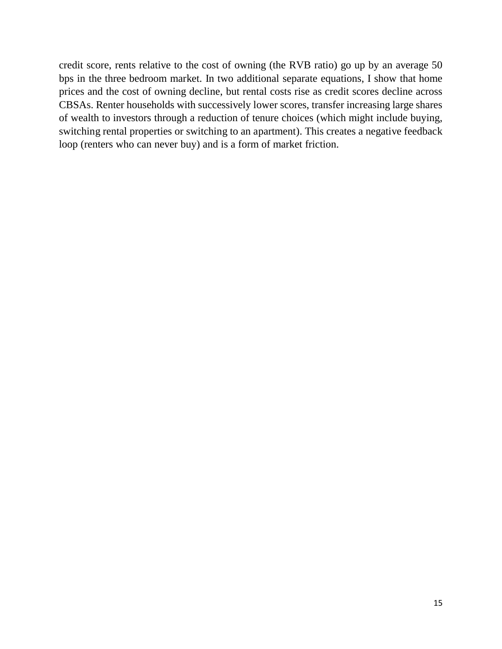credit score, rents relative to the cost of owning (the RVB ratio) go up by an average 50 bps in the three bedroom market. In two additional separate equations, I show that home prices and the cost of owning decline, but rental costs rise as credit scores decline across CBSAs. Renter households with successively lower scores, transfer increasing large shares of wealth to investors through a reduction of tenure choices (which might include buying, switching rental properties or switching to an apartment). This creates a negative feedback loop (renters who can never buy) and is a form of market friction.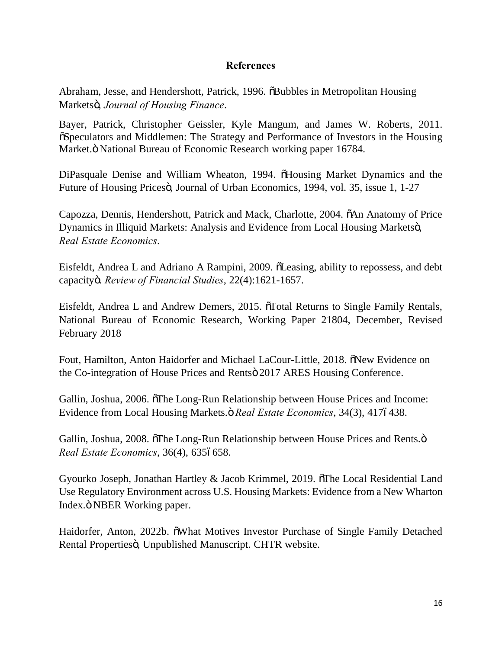### **References**

Abraham, Jesse, and Hendershott, Patrick, 1996.  $\delta$ Bubbles in Metropolitan Housing Markets", *Journal of Housing Finance*.

Bayer, Patrick, Christopher Geissler, Kyle Mangum, and James W. Roberts, 2011. "Speculators and Middlemen: The Strategy and Performance of Investors in the Housing Market. ö National Bureau of Economic Research working paper 16784.

DiPasquale Denise and William Wheaton, 1994.  $\delta$ Housing Market Dynamics and the Future of Housing Pricesö, Journal of Urban Economics, 1994, vol. 35, issue 1, 1-27

Capozza, Dennis, Hendershott, Patrick and Mack, Charlotte, 2004.  $\tilde{o}$ An Anatomy of Price Dynamics in Illiquid Markets: Analysis and Evidence from Local Housing Marketsö, *Real Estate Economics*.

Eisfeldt, Andrea L and Adriano A Rampini, 2009. The Leasing, ability to repossess, and debt capacity". *Review of Financial Studies*, 22(4):1621-1657.

Eisfeldt, Andrea L and Andrew Demers, 2015. Total Returns to Single Family Rentals, National Bureau of Economic Research, Working Paper 21804, December, Revised February 2018

Fout, Hamilton, Anton Haidorfer and Michael LaCour-Little, 2018. New Evidence on the Co-integration of House Prices and Rentsö 2017 ARES Housing Conference.

Gallin, Joshua, 2006. The Long-Run Relationship between House Prices and Income: Evidence from Local Housing Markets. $\ddot{\text{o}}$  *Real Estate Economics*, 34(3), 4176438.

Gallin, Joshua, 2008. The Long-Run Relationship between House Prices and Rents.  $\ddot{o}$ *Real Estate Economics*, 36(4), 6356658.

Gyourko Joseph, Jonathan Hartley & Jacob Krimmel, 2019. The Local Residential Land Use Regulatory Environment across U.S. Housing Markets: Evidence from a New Wharton Index. ö NBER Working paper.

Haidorfer, Anton, 2022b.  $\delta$ What Motives Investor Purchase of Single Family Detached Rental Propertiesö, Unpublished Manuscript. CHTR website.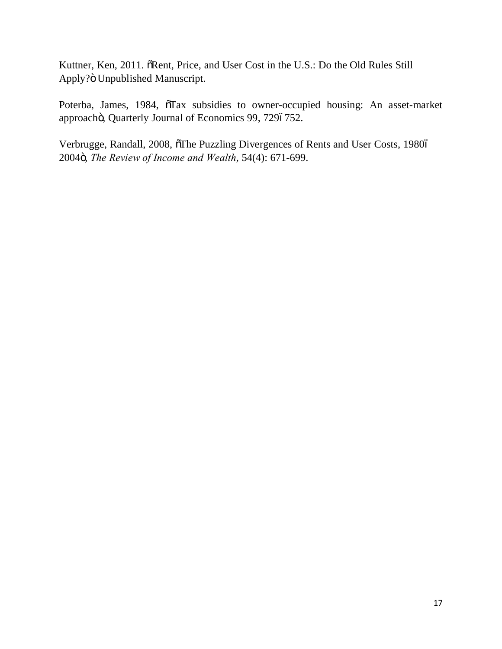Kuttner, Ken, 2011. öRent, Price, and User Cost in the U.S.: Do the Old Rules Still Apply?ö Unpublished Manuscript.

Poterba, James, 1984,  $\tilde{o}$ Tax subsidies to owner-occupied housing: An asset-market approachö, Quarterly Journal of Economics 99, 7296752.

Verbrugge, Randall, 2008,  $\delta$ The Puzzling Divergences of Rents and User Costs, 19806 2004", *The Review of Income and Wealth*, 54(4): 671-699.